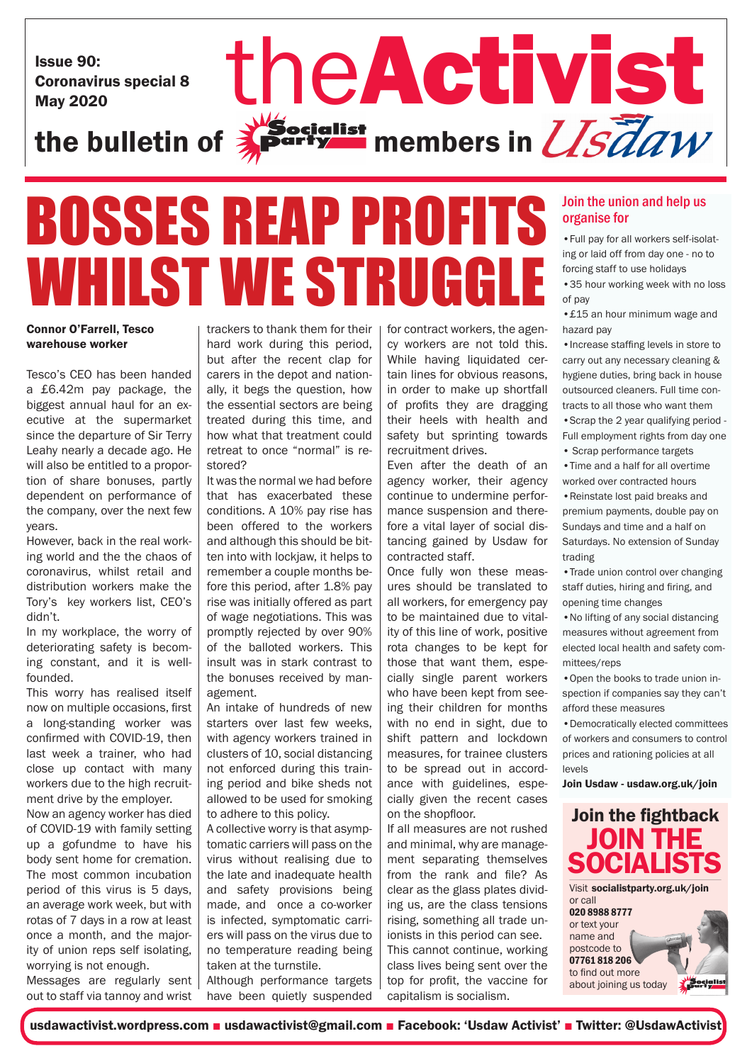Issue 90: Coronavirus special 8

# Issue 90:<br>Coronavirus special 8<br>the bulletin of **Specialist** members in *USTaw*  $\sum_{k}^{\text{W}}$  originst members in  $\overline{\text{USd}}\textit{aw}$

## **BOSSES REAP PROFIT** WHILST WE STRUGG

### Connor O'Farrell, Tesco warehouse worker

Tesco's CEO has been handed a £6.42m pay package, the biggest annual haul for an executive at the supermarket since the departure of Sir Terry Leahy nearly a decade ago. He will also be entitled to a proportion of share bonuses, partly dependent on performance of the company, over the next few years.

However, back in the real working world and the the chaos of coronavirus, whilst retail and distribution workers make the Tory's key workers list, CEO's didn't.

In my workplace, the worry of deteriorating safety is becoming constant, and it is wellfounded.

This worry has realised itself now on multiple occasions, first a long-standing worker was confirmed with COVID-19, then last week a trainer, who had close up contact with many workers due to the high recruitment drive by the employer.

Now an agency worker has died of COVID-19 with family setting up a gofundme to have his body sent home for cremation. The most common incubation period of this virus is 5 days, an average work week, but with rotas of 7 days in a row at least once a month, and the majority of union reps self isolating, worrying is not enough. Messages are regularly sent

out to staff via tannoy and wrist

trackers to thank them for their hard work during this period, but after the recent clap for carers in the depot and nationally, it begs the question, how the essential sectors are being treated during this time, and how what that treatment could retreat to once "normal" is restored?

It was the normal we had before that has exacerbated these conditions. A 10% pay rise has been offered to the workers and although this should be bitten into with lockjaw, it helps to remember a couple months before this period, after 1.8% pay rise was initially offered as part of wage negotiations. This was promptly rejected by over 90% of the balloted workers. This insult was in stark contrast to the bonuses received by management.

An intake of hundreds of new starters over last few weeks, with agency workers trained in clusters of 10, social distancing not enforced during this training period and bike sheds not allowed to be used for smoking to adhere to this policy.

A collective worry is that asymptomatic carriers will pass on the virus without realising due to the late and inadequate health and safety provisions being made, and once a co-worker is infected, symptomatic carriers will pass on the virus due to no temperature reading being taken at the turnstile.

Although performance targets have been quietly suspended

for contract workers, the agency workers are not told this. While having liquidated certain lines for obvious reasons, in order to make up shortfall of profits they are dragging their heels with health and safety but sprinting towards recruitment drives.

Even after the death of an agency worker, their agency continue to undermine performance suspension and therefore a vital layer of social distancing gained by Usdaw for contracted staff.

Once fully won these measures should be translated to all workers, for emergency pay to be maintained due to vitality of this line of work, positive rota changes to be kept for those that want them, especially single parent workers who have been kept from seeing their children for months with no end in sight, due to shift pattern and lockdown measures, for trainee clusters to be spread out in accordance with guidelines, especially given the recent cases on the shopfloor.

If all measures are not rushed and minimal, why are management separating themselves from the rank and file? As clear as the glass plates dividing us, are the class tensions rising, something all trade unionists in this period can see. This cannot continue, working class lives being sent over the top for profit, the vaccine for capitalism is socialism.

### Join the union and help us organise for

•Full pay for all workers self-isolating or laid off from day one - no to forcing staff to use holidays

•35 hour working week with no loss of pay

•£15 an hour minimum wage and hazard pay

•Increase staffing levels in store to carry out any necessary cleaning & hygiene duties, bring back in house outsourced cleaners. Full time contracts to all those who want them •Scrap the 2 year qualifying period - Full employment rights from day one

• Scrap performance targets

•Time and a half for all overtime worked over contracted hours •Reinstate lost paid breaks and

premium payments, double pay on Sundays and time and a half on Saturdays. No extension of Sunday trading

•Trade union control over changing staff duties, hiring and firing, and opening time changes

•No lifting of any social distancing measures without agreement from elected local health and safety committees/reps

•Open the books to trade union inspection if companies say they can't afford these measures

•Democratically elected committees of workers and consumers to control prices and rationing policies at all levels

Join Usdaw - usdaw.org.uk/join



about joining us today